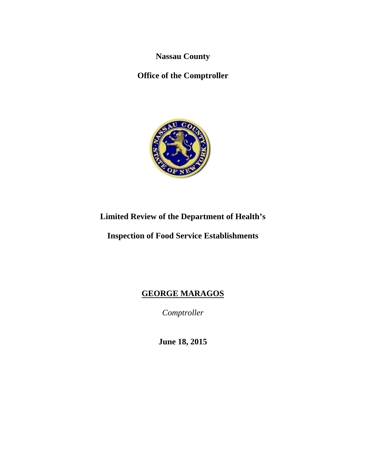**Nassau County** 

**Office of the Comptroller** 



# **Limited Review of the Department of Health's**

**Inspection of Food Service Establishments** 

# **GEORGE MARAGOS**

*Comptroller* 

**June 18, 2015**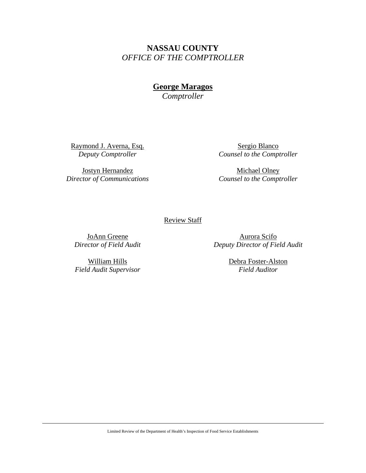**NASSAU COUNTY**  *OFFICE OF THE COMPTROLLER* 

> **George Maragos**  *Comptroller*

Raymond J. Averna, Esq. *Deputy Comptroller* 

Jostyn Hernandez *Director of Communications* 

Sergio Blanco *Counsel to the Comptroller* 

Michael Olney *Counsel to the Comptroller* 

Review Staff

JoAnn Greene *Director of Field Audit* 

Aurora Scifo *Deputy Director of Field Audit* 

William Hills *Field Audit Supervisor*  Debra Foster-Alston *Field Auditor* 

Limited Review of the Department of Health's Inspection of Food Service Establishments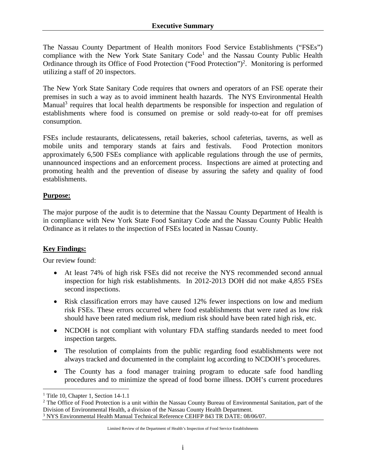The Nassau County Department of Health monitors Food Service Establishments ("FSEs") compliance with the New York State Sanitary Code<sup>1</sup> and the Nassau County Public Health Ordinance through its Office of Food Protection ("Food Protection")<sup>2</sup>. Monitoring is performed utilizing a staff of 20 inspectors.

The New York State Sanitary Code requires that owners and operators of an FSE operate their premises in such a way as to avoid imminent health hazards. The NYS Environmental Health Manual<sup>3</sup> requires that local health departments be responsible for inspection and regulation of establishments where food is consumed on premise or sold ready-to-eat for off premises consumption.

FSEs include restaurants, delicatessens, retail bakeries, school cafeterias, taverns, as well as mobile units and temporary stands at fairs and festivals. Food Protection monitors approximately 6,500 FSEs compliance with applicable regulations through the use of permits, unannounced inspections and an enforcement process. Inspections are aimed at protecting and promoting health and the prevention of disease by assuring the safety and quality of food establishments.

### **Purpose:**

The major purpose of the audit is to determine that the Nassau County Department of Health is in compliance with New York State Food Sanitary Code and the Nassau County Public Health Ordinance as it relates to the inspection of FSEs located in Nassau County.

# **Key Findings:**

Our review found:

- At least 74% of high risk FSEs did not receive the NYS recommended second annual inspection for high risk establishments. In 2012-2013 DOH did not make 4,855 FSEs second inspections.
- Risk classification errors may have caused 12% fewer inspections on low and medium risk FSEs. These errors occurred where food establishments that were rated as low risk should have been rated medium risk, medium risk should have been rated high risk, etc.
- NCDOH is not compliant with voluntary FDA staffing standards needed to meet food inspection targets.
- The resolution of complaints from the public regarding food establishments were not always tracked and documented in the complaint log according to NCDOH's procedures.
- The County has a food manager training program to educate safe food handling procedures and to minimize the spread of food borne illness. DOH's current procedures

 $\overline{a}$ 

<sup>&</sup>lt;sup>1</sup> Title 10, Chapter 1, Section 14-1.1

<sup>&</sup>lt;sup>2</sup> The Office of Food Protection is a unit within the Nassau County Bureau of Environmental Sanitation, part of the Division of Environmental Health, a division of the Nassau County Health Department. <sup>3</sup> NYS Environmental Health Manual Technical Reference CEHFP 843 TR DATE: 08/06/07.

Limited Review of the Department of Health's Inspection of Food Service Establishments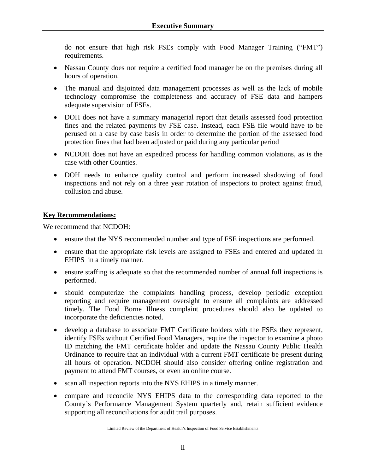do not ensure that high risk FSEs comply with Food Manager Training ("FMT") requirements.

- Nassau County does not require a certified food manager be on the premises during all hours of operation.
- The manual and disjointed data management processes as well as the lack of mobile technology compromise the completeness and accuracy of FSE data and hampers adequate supervision of FSEs.
- DOH does not have a summary managerial report that details assessed food protection fines and the related payments by FSE case. Instead, each FSE file would have to be perused on a case by case basis in order to determine the portion of the assessed food protection fines that had been adjusted or paid during any particular period
- NCDOH does not have an expedited process for handling common violations, as is the case with other Counties.
- DOH needs to enhance quality control and perform increased shadowing of food inspections and not rely on a three year rotation of inspectors to protect against fraud, collusion and abuse.

### **Key Recommendations:**

We recommend that NCDOH:

- ensure that the NYS recommended number and type of FSE inspections are performed.
- ensure that the appropriate risk levels are assigned to FSEs and entered and updated in EHIPS in a timely manner.
- ensure staffing is adequate so that the recommended number of annual full inspections is performed.
- should computerize the complaints handling process, develop periodic exception reporting and require management oversight to ensure all complaints are addressed timely. The Food Borne Illness complaint procedures should also be updated to incorporate the deficiencies noted.
- develop a database to associate FMT Certificate holders with the FSEs they represent, identify FSEs without Certified Food Managers, require the inspector to examine a photo ID matching the FMT certificate holder and update the Nassau County Public Health Ordinance to require that an individual with a current FMT certificate be present during all hours of operation. NCDOH should also consider offering online registration and payment to attend FMT courses, or even an online course.
- scan all inspection reports into the NYS EHIPS in a timely manner.
- compare and reconcile NYS EHIPS data to the corresponding data reported to the County's Performance Management System quarterly and, retain sufficient evidence supporting all reconciliations for audit trail purposes.

Limited Review of the Department of Health's Inspection of Food Service Establishments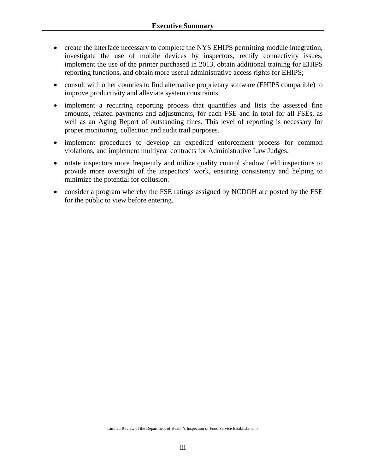- create the interface necessary to complete the NYS EHIPS permitting module integration, investigate the use of mobile devices by inspectors, rectify connectivity issues, implement the use of the printer purchased in 2013, obtain additional training for EHIPS reporting functions, and obtain more useful administrative access rights for EHIPS;
- consult with other counties to find alternative proprietary software (EHIPS compatible) to improve productivity and alleviate system constraints.
- implement a recurring reporting process that quantifies and lists the assessed fine amounts, related payments and adjustments, for each FSE and in total for all FSEs, as well as an Aging Report of outstanding fines. This level of reporting is necessary for proper monitoring, collection and audit trail purposes.
- implement procedures to develop an expedited enforcement process for common violations, and implement multiyear contracts for Administrative Law Judges.
- rotate inspectors more frequently and utilize quality control shadow field inspections to provide more oversight of the inspectors' work, ensuring consistency and helping to minimize the potential for collusion.
- consider a program whereby the FSE ratings assigned by NCDOH are posted by the FSE for the public to view before entering.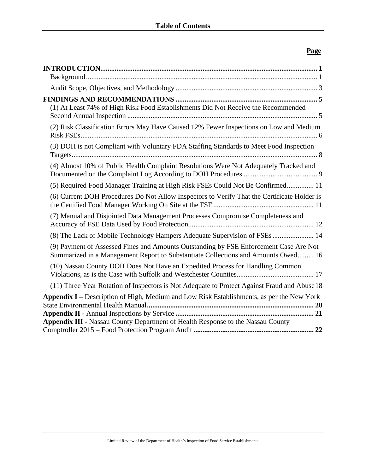# **Page**

| (1) At Least 74% of High Risk Food Establishments Did Not Receive the Recommended                                                                                          |
|----------------------------------------------------------------------------------------------------------------------------------------------------------------------------|
| (2) Risk Classification Errors May Have Caused 12% Fewer Inspections on Low and Medium                                                                                     |
| (3) DOH is not Compliant with Voluntary FDA Staffing Standards to Meet Food Inspection                                                                                     |
| (4) Almost 10% of Public Health Complaint Resolutions Were Not Adequately Tracked and                                                                                      |
| (5) Required Food Manager Training at High Risk FSEs Could Not Be Confirmed 11                                                                                             |
| (6) Current DOH Procedures Do Not Allow Inspectors to Verify That the Certificate Holder is                                                                                |
| (7) Manual and Disjointed Data Management Processes Compromise Completeness and                                                                                            |
| (8) The Lack of Mobile Technology Hampers Adequate Supervision of FSEs 14                                                                                                  |
| (9) Payment of Assessed Fines and Amounts Outstanding by FSE Enforcement Case Are Not<br>Summarized in a Management Report to Substantiate Collections and Amounts Owed 16 |
| (10) Nassau County DOH Does Not Have an Expedited Process for Handling Common                                                                                              |
| (11) Three Year Rotation of Inspectors is Not Adequate to Protect Against Fraud and Abuse 18                                                                               |
| Appendix I – Description of High, Medium and Low Risk Establishments, as per the New York                                                                                  |
| <b>Appendix III - Nassau County Department of Health Response to the Nassau County</b>                                                                                     |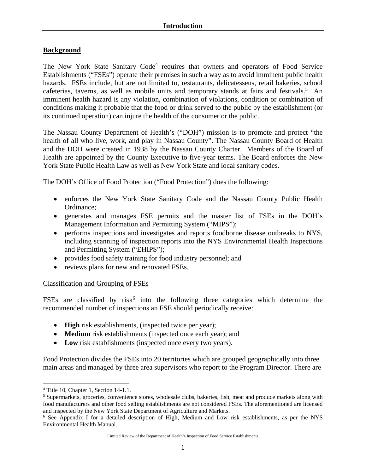### **Background**

The New York State Sanitary Code<sup>4</sup> requires that owners and operators of Food Service Establishments ("FSEs") operate their premises in such a way as to avoid imminent public health hazards. FSEs include, but are not limited to, restaurants, delicatessens, retail bakeries, school cafeterias, taverns, as well as mobile units and temporary stands at fairs and festivals.<sup>5</sup> An imminent health hazard is any violation, combination of violations, condition or combination of conditions making it probable that the food or drink served to the public by the establishment (or its continued operation) can injure the health of the consumer or the public.

The Nassau County Department of Health's ("DOH") mission is to promote and protect "the health of all who live, work, and play in Nassau County". The Nassau County Board of Health and the DOH were created in 1938 by the Nassau County Charter. Members of the Board of Health are appointed by the County Executive to five-year terms. The Board enforces the New York State Public Health Law as well as New York State and local sanitary codes.

The DOH's Office of Food Protection ("Food Protection") does the following:

- enforces the New York State Sanitary Code and the Nassau County Public Health Ordinance;
- generates and manages FSE permits and the master list of FSEs in the DOH's Management Information and Permitting System ("MIPS");
- performs inspections and investigates and reports foodborne disease outbreaks to NYS, including scanning of inspection reports into the NYS Environmental Health Inspections and Permitting System ("EHIPS");
- provides food safety training for food industry personnel; and
- reviews plans for new and renovated FSEs.

### Classification and Grouping of FSEs

FSEs are classified by risk $<sup>6</sup>$  into the following three categories which determine the</sup> recommended number of inspections an FSE should periodically receive:

- **High** risk establishments, (inspected twice per year);
- **Medium** risk establishments (inspected once each year); and
- **Low** risk establishments (inspected once every two years).

Food Protection divides the FSEs into 20 territories which are grouped geographically into three main areas and managed by three area supervisors who report to the Program Director. There are

 $\overline{a}$ 4 Title 10, Chapter 1, Section 14-1.1.

<sup>&</sup>lt;sup>5</sup> Supermarkets, groceries, convenience stores, wholesale clubs, bakeries, fish, meat and produce markets along with food manufacturers and other food selling establishments are not considered FSEs. The aforementioned are licensed and inspected by the New York State Department of Agriculture and Markets. 6

<sup>&</sup>lt;sup>6</sup> See Appendix I for a detailed description of High, Medium and Low risk establishments, as per the NYS Environmental Health Manual.

Limited Review of the Department of Health's Inspection of Food Service Establishments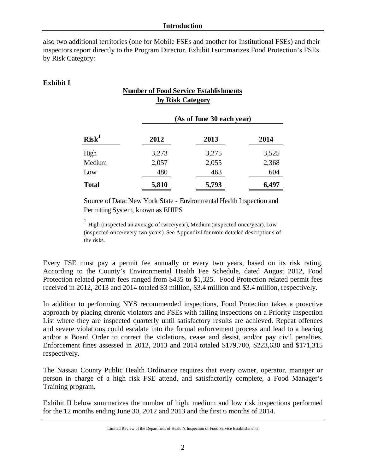also two additional territories (one for Mobile FSEs and another for Institutional FSEs) and their inspectors report directly to the Program Director. Exhibit Isummarizes Food Protection's FSEs by Risk Category:

### **Exhibit I**

# **Number of Food Service Establishments by Risk Category**

| Risk <sup>1</sup> | (As of June 30 each year) |       |       |  |  |
|-------------------|---------------------------|-------|-------|--|--|
|                   | 2012                      | 2013  | 2014  |  |  |
| High              | 3,273                     | 3,275 | 3,525 |  |  |
| Medium            | 2,057                     | 2,055 | 2,368 |  |  |
| Low               | 480                       | 463   | 604   |  |  |
| <b>Total</b>      | 5,810                     | 5,793 | 6,497 |  |  |

Source of Data: New York State - Environmental Health Inspection and Permitting System, known as EHIPS

<sup>1</sup> High (inspected an average of twice/year), Medium (inspected once/year), Low (inspected once/every two years). See Appendix I for more detailed descriptions of the risks.

Every FSE must pay a permit fee annually or every two years, based on its risk rating. According to the County's Environmental Health Fee Schedule, dated August 2012, Food Protection related permit fees ranged from \$435 to \$1,325. Food Protection related permit fees received in 2012, 2013 and 2014 totaled \$3 million, \$3.4 million and \$3.4 million, respectively.

In addition to performing NYS recommended inspections, Food Protection takes a proactive approach by placing chronic violators and FSEs with failing inspections on a Priority Inspection List where they are inspected quarterly until satisfactory results are achieved. Repeat offences and severe violations could escalate into the formal enforcement process and lead to a hearing and/or a Board Order to correct the violations, cease and desist, and/or pay civil penalties. Enforcement fines assessed in 2012, 2013 and 2014 totaled \$179,700, \$223,630 and \$171,315 respectively.

The Nassau County Public Health Ordinance requires that every owner, operator, manager or person in charge of a high risk FSE attend, and satisfactorily complete, a Food Manager's Training program.

Exhibit II below summarizes the number of high, medium and low risk inspections performed for the 12 months ending June 30, 2012 and 2013 and the first 6 months of 2014.

Limited Review of the Department of Health's Inspection of Food Service Establishments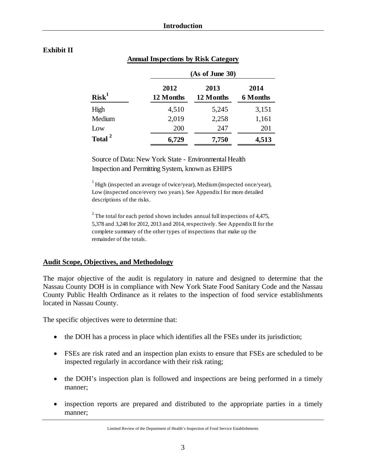## **Exhibit II**

|                    | (As of June 30)   |                   |                         |  |  |  |
|--------------------|-------------------|-------------------|-------------------------|--|--|--|
| Risk <sup>1</sup>  | 2012<br>12 Months | 2013<br>12 Months | 2014<br><b>6 Months</b> |  |  |  |
| High               | 4,510             | 5,245             | 3,151                   |  |  |  |
| Medium             | 2,019             | 2,258             | 1,161                   |  |  |  |
| Low                | 200               | 247               | 201                     |  |  |  |
| Total <sup>2</sup> | 6,729             | 7,750             | 4,513                   |  |  |  |

### **Annual Inspections by Risk Category**

Source of Data: New York State - Environmental Health Inspection and Permitting System, known as EHIPS

 $1$  High (inspected an average of twice/year), Medium (inspected once/year), Low (inspected once/every two years). See Appendix I for more detailed descriptions of the risks.

 $2^2$  The total for each period shown includes annual full inspections of 4,475, 5,378 and 3,248 for 2012, 2013 and 2014, respectively. See Appendix II for the complete summary of the other types of inspections that make up the remainder of the totals.

### **Audit Scope, Objectives, and Methodology**

The major objective of the audit is regulatory in nature and designed to determine that the Nassau County DOH is in compliance with New York State Food Sanitary Code and the Nassau County Public Health Ordinance as it relates to the inspection of food service establishments located in Nassau County.

The specific objectives were to determine that:

- the DOH has a process in place which identifies all the FSEs under its jurisdiction;
- FSEs are risk rated and an inspection plan exists to ensure that FSEs are scheduled to be inspected regularly in accordance with their risk rating;
- the DOH's inspection plan is followed and inspections are being performed in a timely manner;
- inspection reports are prepared and distributed to the appropriate parties in a timely manner;

Limited Review of the Department of Health's Inspection of Food Service Establishments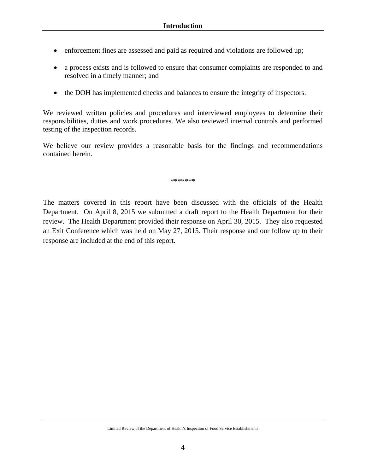- enforcement fines are assessed and paid as required and violations are followed up;
- a process exists and is followed to ensure that consumer complaints are responded to and resolved in a timely manner; and
- the DOH has implemented checks and balances to ensure the integrity of inspectors.

We reviewed written policies and procedures and interviewed employees to determine their responsibilities, duties and work procedures. We also reviewed internal controls and performed testing of the inspection records.

We believe our review provides a reasonable basis for the findings and recommendations contained herein.

\*\*\*\*\*\*\*

The matters covered in this report have been discussed with the officials of the Health Department. On April 8, 2015 we submitted a draft report to the Health Department for their review. The Health Department provided their response on April 30, 2015. They also requested an Exit Conference which was held on May 27, 2015. Their response and our follow up to their response are included at the end of this report.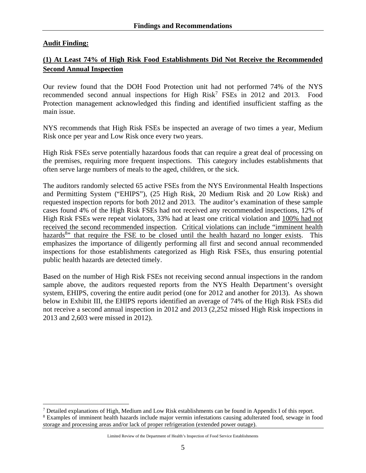### **Audit Finding:**

 $\overline{a}$ 

# **(1) At Least 74% of High Risk Food Establishments Did Not Receive the Recommended Second Annual Inspection**

Our review found that the DOH Food Protection unit had not performed 74% of the NYS recommended second annual inspections for High Risk<sup>7</sup> FSEs in 2012 and 2013. Food Protection management acknowledged this finding and identified insufficient staffing as the main issue.

NYS recommends that High Risk FSEs be inspected an average of two times a year, Medium Risk once per year and Low Risk once every two years.

High Risk FSEs serve potentially hazardous foods that can require a great deal of processing on the premises, requiring more frequent inspections. This category includes establishments that often serve large numbers of meals to the aged, children, or the sick.

The auditors randomly selected 65 active FSEs from the NYS Environmental Health Inspections and Permitting System ("EHIPS"), (25 High Risk, 20 Medium Risk and 20 Low Risk) and requested inspection reports for both 2012 and 2013. The auditor's examination of these sample cases found 4% of the High Risk FSEs had not received any recommended inspections, 12% of High Risk FSEs were repeat violators, 33% had at least one critical violation and 100% had not received the second recommended inspection. Critical violations can include "imminent health hazards<sup>8</sup> that require the FSE to be closed until the health hazard no longer exists. This emphasizes the importance of diligently performing all first and second annual recommended inspections for those establishments categorized as High Risk FSEs, thus ensuring potential public health hazards are detected timely.

Based on the number of High Risk FSEs not receiving second annual inspections in the random sample above, the auditors requested reports from the NYS Health Department's oversight system, EHIPS, covering the entire audit period (one for 2012 and another for 2013). As shown below in Exhibit III, the EHIPS reports identified an average of 74% of the High Risk FSEs did not receive a second annual inspection in 2012 and 2013 (2,252 missed High Risk inspections in 2013 and 2,603 were missed in 2012).

Thetailed explanations of High, Medium and Low Risk establishments can be found in Appendix I of this report.<br><sup>8</sup> Examples of imminent health hazards include major vermin infestations causing adulterated food, sewage in f

Examples of imminent health hazards include major vermin infestations causing adulterated food, sewage in food storage and processing areas and/or lack of proper refrigeration (extended power outage).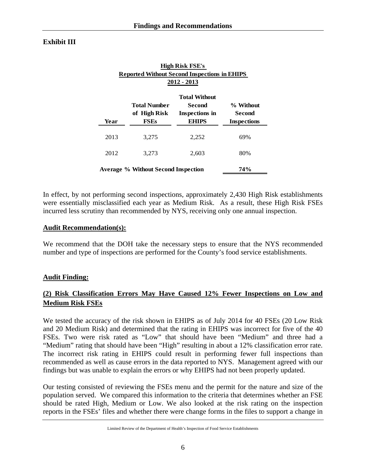### **Exhibit III**

| <b>High Risk FSE's</b><br><b>Reported Without Second Inspections in EHIPS</b><br>2012 - 2013 |                                                    |                                                                  |                                           |  |  |  |
|----------------------------------------------------------------------------------------------|----------------------------------------------------|------------------------------------------------------------------|-------------------------------------------|--|--|--|
| Year                                                                                         | <b>Total Number</b><br>of High Risk<br><b>FSEs</b> | <b>Total Without</b><br>Second<br>Inspections in<br><b>EHIPS</b> | % Without<br>Second<br><b>Inspections</b> |  |  |  |
| 2013                                                                                         | 3,275                                              | 2,252                                                            | 69%                                       |  |  |  |
| 2012                                                                                         | 3.273                                              | 2.603                                                            | 80%                                       |  |  |  |
|                                                                                              | 74%<br>Average % Without Second Inspection         |                                                                  |                                           |  |  |  |

In effect, by not performing second inspections, approximately 2,430 High Risk establishments were essentially misclassified each year as Medium Risk. As a result, these High Risk FSEs incurred less scrutiny than recommended by NYS, receiving only one annual inspection.

### **Audit Recommendation(s):**

We recommend that the DOH take the necessary steps to ensure that the NYS recommended number and type of inspections are performed for the County's food service establishments.

### **Audit Finding:**

# **(2) Risk Classification Errors May Have Caused 12% Fewer Inspections on Low and Medium Risk FSEs**

We tested the accuracy of the risk shown in EHIPS as of July 2014 for 40 FSEs (20 Low Risk and 20 Medium Risk) and determined that the rating in EHIPS was incorrect for five of the 40 FSEs. Two were risk rated as "Low" that should have been "Medium" and three had a "Medium" rating that should have been "High" resulting in about a 12% classification error rate. The incorrect risk rating in EHIPS could result in performing fewer full inspections than recommended as well as cause errors in the data reported to NYS. Management agreed with our findings but was unable to explain the errors or why EHIPS had not been properly updated.

Our testing consisted of reviewing the FSEs menu and the permit for the nature and size of the population served. We compared this information to the criteria that determines whether an FSE should be rated High, Medium or Low. We also looked at the risk rating on the inspection reports in the FSEs' files and whether there were change forms in the files to support a change in

Limited Review of the Department of Health's Inspection of Food Service Establishments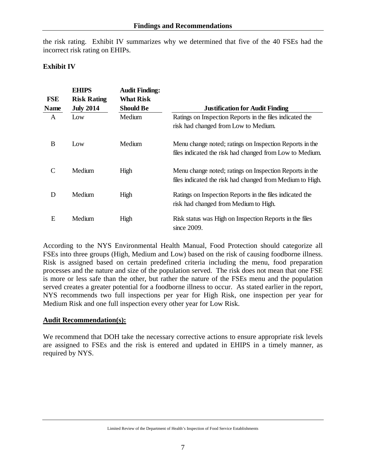the risk rating. Exhibit IV summarizes why we determined that five of the 40 FSEs had the incorrect risk rating on EHIPs.

### **Exhibit IV**

| <b>FSE</b><br><b>Name</b> | <b>EHIPS</b><br><b>Risk Rating</b><br><b>July 2014</b> | <b>Audit Finding:</b><br><b>What Risk</b><br><b>Should Be</b> | <b>Justification for Audit Finding</b>                                                                               |
|---------------------------|--------------------------------------------------------|---------------------------------------------------------------|----------------------------------------------------------------------------------------------------------------------|
| A                         | Low                                                    | Medium                                                        | Ratings on Inspection Reports in the files indicated the<br>risk had changed from Low to Medium.                     |
| B                         | Low                                                    | Medium                                                        | Menu change noted; ratings on Inspection Reports in the<br>files indicated the risk had changed from Low to Medium.  |
| $\mathcal{C}$             | Medium                                                 | High                                                          | Menu change noted; ratings on Inspection Reports in the<br>files indicated the risk had changed from Medium to High. |
| D                         | Medium                                                 | High                                                          | Ratings on Inspection Reports in the files indicated the<br>risk had changed from Medium to High.                    |
| E                         | Medium                                                 | High                                                          | Risk status was High on Inspection Reports in the files<br>since 2009.                                               |

According to the NYS Environmental Health Manual, Food Protection should categorize all FSEs into three groups (High, Medium and Low) based on the risk of causing foodborne illness. Risk is assigned based on certain predefined criteria including the menu, food preparation processes and the nature and size of the population served. The risk does not mean that one FSE is more or less safe than the other, but rather the nature of the FSEs menu and the population served creates a greater potential for a foodborne illness to occur. As stated earlier in the report, NYS recommends two full inspections per year for High Risk, one inspection per year for Medium Risk and one full inspection every other year for Low Risk.

### **Audit Recommendation(s):**

We recommend that DOH take the necessary corrective actions to ensure appropriate risk levels are assigned to FSEs and the risk is entered and updated in EHIPS in a timely manner, as required by NYS.

Limited Review of the Department of Health's Inspection of Food Service Establishments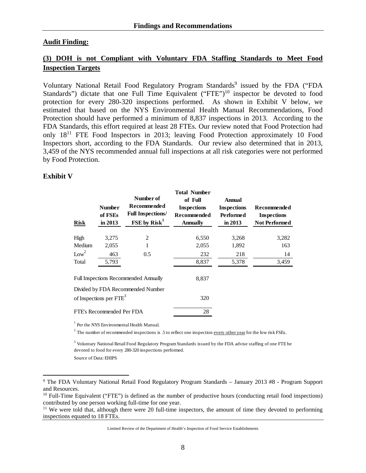#### **Audit Finding:**

## **(3) DOH is not Compliant with Voluntary FDA Staffing Standards to Meet Food Inspection Targets**

Voluntary National Retail Food Regulatory Program Standards<sup>9</sup> issued by the FDA ("FDA Standards") dictate that one Full Time Equivalent  $("FTE")<sup>10</sup>$  inspector be devoted to food protection for every 280-320 inspections performed. As shown in Exhibit V below, we estimated that based on the NYS Environmental Health Manual Recommendations, Food Protection should have performed a minimum of 8,837 inspections in 2013. According to the FDA Standards, this effort required at least 28 FTEs. Our review noted that Food Protection had only 1811 FTE Food Inspectors in 2013; leaving Food Protection approximately 10 Food Inspectors short, according to the FDA Standards. Our review also determined that in 2013, 3,459 of the NYS recommended annual full inspections at all risk categories were not performed by Food Protection.

#### **Exhibit V**

1

| <b>Risk</b>                                                              | <b>Number</b><br>of FSEs<br>in 2013 | Number of<br><b>Recommended</b><br><b>Full Inspections/</b><br>FSE by Risk <sup>1</sup> | <b>Total Number</b><br>of Full<br><b>Inspections</b><br><b>Recommended</b><br><b>Annually</b> | <b>Annual</b><br><b>Inspections</b><br>Performed<br>in $2013$ | Recommended<br><b>Inspections</b><br><b>Not Performed</b> |
|--------------------------------------------------------------------------|-------------------------------------|-----------------------------------------------------------------------------------------|-----------------------------------------------------------------------------------------------|---------------------------------------------------------------|-----------------------------------------------------------|
| High                                                                     | 3,275                               | 2                                                                                       | 6,550                                                                                         | 3,268                                                         | 3,282                                                     |
| Medium                                                                   | 2,055                               | 1                                                                                       | 2,055                                                                                         | 1,892                                                         | 163                                                       |
| Low <sup>2</sup>                                                         | 463                                 | 0.5                                                                                     | 232                                                                                           | 218                                                           | 14                                                        |
| Total                                                                    | 5,793                               |                                                                                         | 8,837                                                                                         | 5,378                                                         | 3,459                                                     |
|                                                                          |                                     | <b>Full Inspections Recommended Annually</b>                                            | 8,837                                                                                         |                                                               |                                                           |
| Divided by FDA Recommended Number<br>of Inspections per FTE <sup>3</sup> |                                     |                                                                                         | 320                                                                                           |                                                               |                                                           |
| FTE's Recommended Per FDA                                                |                                     | 28                                                                                      |                                                                                               |                                                               |                                                           |

1 Per the NYS Environmental Health Manual.

<sup>2</sup> The number of recommended inspections is .5 to reflect one inspection every other year for the low risk FSEs.

 $3$  Voluntary National Retail Food Regulatory Program Standards issued by the FDA advise staffing of one FTE be devoted to food for every 280-320 inspections performed.

Source of Data: EHIPS

<sup>&</sup>lt;sup>9</sup> The FDA Voluntary National Retail Food Regulatory Program Standards - January 2013 #8 - Program Support and Resources.

<sup>&</sup>lt;sup>10</sup> Full-Time Equivalent ("FTE") is defined as the number of productive hours (conducting retail food inspections) contributed by one person working full-time for one year.

 $11$  We were told that, although there were 20 full-time inspectors, the amount of time they devoted to performing inspections equated to 18 FTEs.

Limited Review of the Department of Health's Inspection of Food Service Establishments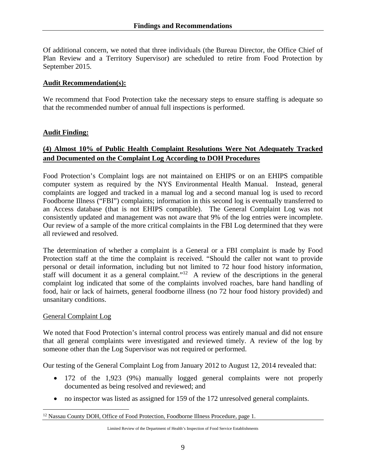Of additional concern, we noted that three individuals (the Bureau Director, the Office Chief of Plan Review and a Territory Supervisor) are scheduled to retire from Food Protection by September 2015.

#### **Audit Recommendation(s):**

We recommend that Food Protection take the necessary steps to ensure staffing is adequate so that the recommended number of annual full inspections is performed.

#### **Audit Finding:**

### **(4) Almost 10% of Public Health Complaint Resolutions Were Not Adequately Tracked and Documented on the Complaint Log According to DOH Procedures**

Food Protection's Complaint logs are not maintained on EHIPS or on an EHIPS compatible computer system as required by the NYS Environmental Health Manual. Instead, general complaints are logged and tracked in a manual log and a second manual log is used to record Foodborne Illness ("FBI") complaints; information in this second log is eventually transferred to an Access database (that is not EHIPS compatible). The General Complaint Log was not consistently updated and management was not aware that 9% of the log entries were incomplete. Our review of a sample of the more critical complaints in the FBI Log determined that they were all reviewed and resolved.

The determination of whether a complaint is a General or a FBI complaint is made by Food Protection staff at the time the complaint is received. "Should the caller not want to provide personal or detail information, including but not limited to 72 hour food history information, staff will document it as a general complaint."<sup>12</sup> A review of the descriptions in the general complaint log indicated that some of the complaints involved roaches, bare hand handling of food, hair or lack of hairnets, general foodborne illness (no 72 hour food history provided) and unsanitary conditions.

#### General Complaint Log

 $\overline{a}$ 

We noted that Food Protection's internal control process was entirely manual and did not ensure that all general complaints were investigated and reviewed timely. A review of the log by someone other than the Log Supervisor was not required or performed.

Our testing of the General Complaint Log from January 2012 to August 12, 2014 revealed that:

- 172 of the 1,923 (9%) manually logged general complaints were not properly documented as being resolved and reviewed; and
- no inspector was listed as assigned for 159 of the 172 unresolved general complaints.

<sup>&</sup>lt;sup>12</sup> Nassau County DOH, Office of Food Protection, Foodborne Illness Procedure, page 1.

Limited Review of the Department of Health's Inspection of Food Service Establishments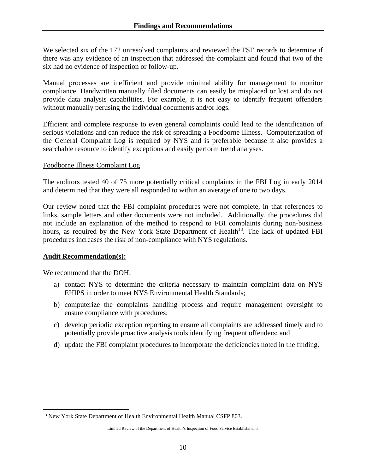We selected six of the 172 unresolved complaints and reviewed the FSE records to determine if there was any evidence of an inspection that addressed the complaint and found that two of the six had no evidence of inspection or follow-up.

Manual processes are inefficient and provide minimal ability for management to monitor compliance. Handwritten manually filed documents can easily be misplaced or lost and do not provide data analysis capabilities. For example, it is not easy to identify frequent offenders without manually perusing the individual documents and/or logs.

Efficient and complete response to even general complaints could lead to the identification of serious violations and can reduce the risk of spreading a Foodborne Illness. Computerization of the General Complaint Log is required by NYS and is preferable because it also provides a searchable resource to identify exceptions and easily perform trend analyses.

#### Foodborne Illness Complaint Log

The auditors tested 40 of 75 more potentially critical complaints in the FBI Log in early 2014 and determined that they were all responded to within an average of one to two days.

Our review noted that the FBI complaint procedures were not complete, in that references to links, sample letters and other documents were not included. Additionally, the procedures did not include an explanation of the method to respond to FBI complaints during non-business hours, as required by the New York State Department of Health<sup>13</sup>. The lack of updated FBI procedures increases the risk of non-compliance with NYS regulations.

### **Audit Recommendation(s):**

We recommend that the DOH:

 $\overline{a}$ 

- a) contact NYS to determine the criteria necessary to maintain complaint data on NYS EHIPS in order to meet NYS Environmental Health Standards;
- b) computerize the complaints handling process and require management oversight to ensure compliance with procedures;
- c) develop periodic exception reporting to ensure all complaints are addressed timely and to potentially provide proactive analysis tools identifying frequent offenders; and
- d) update the FBI complaint procedures to incorporate the deficiencies noted in the finding.

<sup>&</sup>lt;sup>13</sup> New York State Department of Health Environmental Health Manual CSFP 803.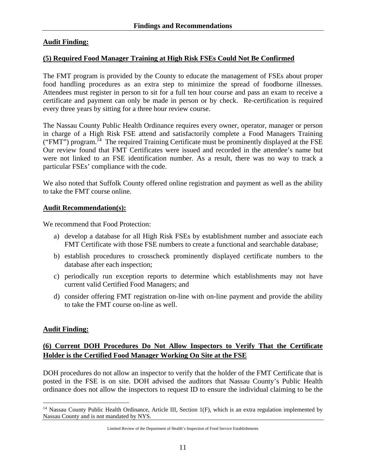#### **Audit Finding:**

#### **(5) Required Food Manager Training at High Risk FSEs Could Not Be Confirmed**

The FMT program is provided by the County to educate the management of FSEs about proper food handling procedures as an extra step to minimize the spread of foodborne illnesses. Attendees must register in person to sit for a full ten hour course and pass an exam to receive a certificate and payment can only be made in person or by check. Re-certification is required every three years by sitting for a three hour review course.

The Nassau County Public Health Ordinance requires every owner, operator, manager or person in charge of a High Risk FSE attend and satisfactorily complete a Food Managers Training ("FMT") program.<sup>14</sup> The required Training Certificate must be prominently displayed at the FSE Our review found that FMT Certificates were issued and recorded in the attendee's name but were not linked to an FSE identification number. As a result, there was no way to track a particular FSEs' compliance with the code.

We also noted that Suffolk County offered online registration and payment as well as the ability to take the FMT course online.

#### **Audit Recommendation(s):**

We recommend that Food Protection:

- a) develop a database for all High Risk FSEs by establishment number and associate each FMT Certificate with those FSE numbers to create a functional and searchable database;
- b) establish procedures to crosscheck prominently displayed certificate numbers to the database after each inspection;
- c) periodically run exception reports to determine which establishments may not have current valid Certified Food Managers; and
- d) consider offering FMT registration on-line with on-line payment and provide the ability to take the FMT course on-line as well.

#### **Audit Finding:**

### **(6) Current DOH Procedures Do Not Allow Inspectors to Verify That the Certificate Holder is the Certified Food Manager Working On Site at the FSE**

DOH procedures do not allow an inspector to verify that the holder of the FMT Certificate that is posted in the FSE is on site. DOH advised the auditors that Nassau County's Public Health ordinance does not allow the inspectors to request ID to ensure the individual claiming to be the

<sup>&</sup>lt;u>.</u>  $14$  Nassau County Public Health Ordinance, Article III, Section 1(F), which is an extra regulation implemented by Nassau County and is not mandated by NYS.

Limited Review of the Department of Health's Inspection of Food Service Establishments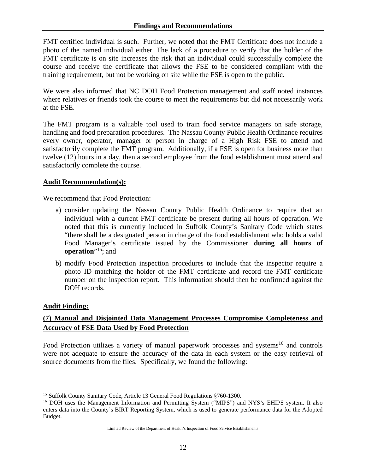FMT certified individual is such. Further, we noted that the FMT Certificate does not include a photo of the named individual either. The lack of a procedure to verify that the holder of the FMT certificate is on site increases the risk that an individual could successfully complete the course and receive the certificate that allows the FSE to be considered compliant with the training requirement, but not be working on site while the FSE is open to the public.

We were also informed that NC DOH Food Protection management and staff noted instances where relatives or friends took the course to meet the requirements but did not necessarily work at the FSE.

The FMT program is a valuable tool used to train food service managers on safe storage, handling and food preparation procedures. The Nassau County Public Health Ordinance requires every owner, operator, manager or person in charge of a High Risk FSE to attend and satisfactorily complete the FMT program. Additionally, if a FSE is open for business more than twelve (12) hours in a day, then a second employee from the food establishment must attend and satisfactorily complete the course.

### **Audit Recommendation(s):**

We recommend that Food Protection:

- a) consider updating the Nassau County Public Health Ordinance to require that an individual with a current FMT certificate be present during all hours of operation. We noted that this is currently included in Suffolk County's Sanitary Code which states "there shall be a designated person in charge of the food establishment who holds a valid Food Manager's certificate issued by the Commissioner **during all hours of operation**"<sup>15</sup>; and
- b) modify Food Protection inspection procedures to include that the inspector require a photo ID matching the holder of the FMT certificate and record the FMT certificate number on the inspection report. This information should then be confirmed against the DOH records.

### **Audit Finding:**

 $\overline{a}$ 

# **(7) Manual and Disjointed Data Management Processes Compromise Completeness and Accuracy of FSE Data Used by Food Protection**

Food Protection utilizes a variety of manual paperwork processes and systems<sup>16</sup> and controls were not adequate to ensure the accuracy of the data in each system or the easy retrieval of source documents from the files. Specifically, we found the following:

<sup>&</sup>lt;sup>15</sup> Suffolk County Sanitary Code, Article 13 General Food Regulations §760-1300.

<sup>&</sup>lt;sup>16</sup> DOH uses the Management Information and Permitting System ("MIPS") and NYS's EHIPS system. It also enters data into the County's BIRT Reporting System, which is used to generate performance data for the Adopted Budget.

Limited Review of the Department of Health's Inspection of Food Service Establishments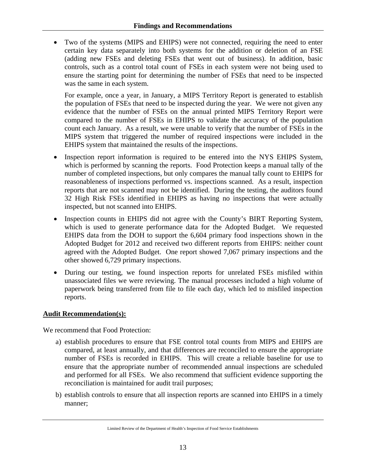Two of the systems (MIPS and EHIPS) were not connected, requiring the need to enter certain key data separately into both systems for the addition or deletion of an FSE (adding new FSEs and deleting FSEs that went out of business). In addition, basic controls, such as a control total count of FSEs in each system were not being used to ensure the starting point for determining the number of FSEs that need to be inspected was the same in each system.

For example, once a year, in January, a MIPS Territory Report is generated to establish the population of FSEs that need to be inspected during the year. We were not given any evidence that the number of FSEs on the annual printed MIPS Territory Report were compared to the number of FSEs in EHIPS to validate the accuracy of the population count each January. As a result, we were unable to verify that the number of FSEs in the MIPS system that triggered the number of required inspections were included in the EHIPS system that maintained the results of the inspections.

- Inspection report information is required to be entered into the NYS EHIPS System, which is performed by scanning the reports. Food Protection keeps a manual tally of the number of completed inspections, but only compares the manual tally count to EHIPS for reasonableness of inspections performed vs. inspections scanned. As a result, inspection reports that are not scanned may not be identified. During the testing, the auditors found 32 High Risk FSEs identified in EHIPS as having no inspections that were actually inspected, but not scanned into EHIPS.
- Inspection counts in EHIPS did not agree with the County's BIRT Reporting System, which is used to generate performance data for the Adopted Budget. We requested EHIPS data from the DOH to support the 6,604 primary food inspections shown in the Adopted Budget for 2012 and received two different reports from EHIPS: neither count agreed with the Adopted Budget. One report showed 7,067 primary inspections and the other showed 6,729 primary inspections.
- During our testing, we found inspection reports for unrelated FSEs misfiled within unassociated files we were reviewing. The manual processes included a high volume of paperwork being transferred from file to file each day, which led to misfiled inspection reports.

### **Audit Recommendation(s):**

We recommend that Food Protection:

- a) establish procedures to ensure that FSE control total counts from MIPS and EHIPS are compared, at least annually, and that differences are reconciled to ensure the appropriate number of FSEs is recorded in EHIPS. This will create a reliable baseline for use to ensure that the appropriate number of recommended annual inspections are scheduled and performed for all FSEs. We also recommend that sufficient evidence supporting the reconciliation is maintained for audit trail purposes;
- b) establish controls to ensure that all inspection reports are scanned into EHIPS in a timely manner;

Limited Review of the Department of Health's Inspection of Food Service Establishments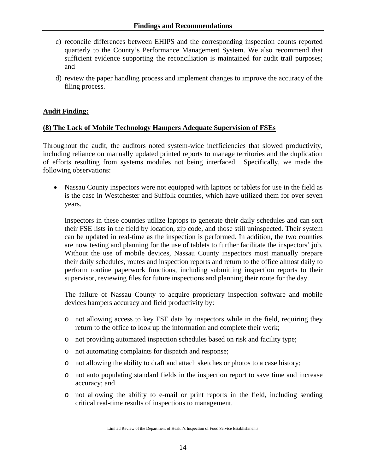- c) reconcile differences between EHIPS and the corresponding inspection counts reported quarterly to the County's Performance Management System. We also recommend that sufficient evidence supporting the reconciliation is maintained for audit trail purposes; and
- d) review the paper handling process and implement changes to improve the accuracy of the filing process.

### **Audit Finding:**

#### **(8) The Lack of Mobile Technology Hampers Adequate Supervision of FSEs**

Throughout the audit, the auditors noted system-wide inefficiencies that slowed productivity, including reliance on manually updated printed reports to manage territories and the duplication of efforts resulting from systems modules not being interfaced. Specifically, we made the following observations:

 Nassau County inspectors were not equipped with laptops or tablets for use in the field as is the case in Westchester and Suffolk counties, which have utilized them for over seven years.

Inspectors in these counties utilize laptops to generate their daily schedules and can sort their FSE lists in the field by location, zip code, and those still uninspected. Their system can be updated in real-time as the inspection is performed. In addition, the two counties are now testing and planning for the use of tablets to further facilitate the inspectors' job. Without the use of mobile devices, Nassau County inspectors must manually prepare their daily schedules, routes and inspection reports and return to the office almost daily to perform routine paperwork functions, including submitting inspection reports to their supervisor, reviewing files for future inspections and planning their route for the day.

The failure of Nassau County to acquire proprietary inspection software and mobile devices hampers accuracy and field productivity by:

- o not allowing access to key FSE data by inspectors while in the field, requiring they return to the office to look up the information and complete their work;
- o not providing automated inspection schedules based on risk and facility type;
- o not automating complaints for dispatch and response;
- o not allowing the ability to draft and attach sketches or photos to a case history;
- o not auto populating standard fields in the inspection report to save time and increase accuracy; and
- o not allowing the ability to e-mail or print reports in the field, including sending critical real-time results of inspections to management.

Limited Review of the Department of Health's Inspection of Food Service Establishments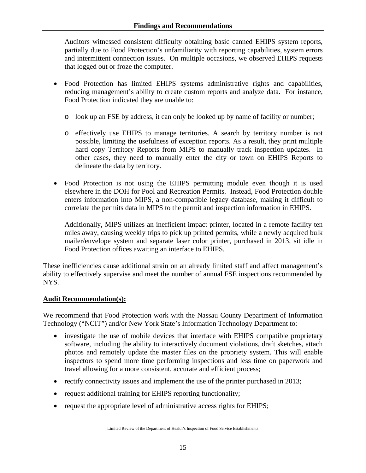Auditors witnessed consistent difficulty obtaining basic canned EHIPS system reports, partially due to Food Protection's unfamiliarity with reporting capabilities, system errors and intermittent connection issues. On multiple occasions, we observed EHIPS requests that logged out or froze the computer.

- Food Protection has limited EHIPS systems administrative rights and capabilities, reducing management's ability to create custom reports and analyze data. For instance, Food Protection indicated they are unable to:
	- o look up an FSE by address, it can only be looked up by name of facility or number;
	- o effectively use EHIPS to manage territories. A search by territory number is not possible, limiting the usefulness of exception reports. As a result, they print multiple hard copy Territory Reports from MIPS to manually track inspection updates. In other cases, they need to manually enter the city or town on EHIPS Reports to delineate the data by territory.
- Food Protection is not using the EHIPS permitting module even though it is used elsewhere in the DOH for Pool and Recreation Permits. Instead, Food Protection double enters information into MIPS, a non-compatible legacy database, making it difficult to correlate the permits data in MIPS to the permit and inspection information in EHIPS.

Additionally, MIPS utilizes an inefficient impact printer, located in a remote facility ten miles away, causing weekly trips to pick up printed permits, while a newly acquired bulk mailer/envelope system and separate laser color printer, purchased in 2013, sit idle in Food Protection offices awaiting an interface to EHIPS.

These inefficiencies cause additional strain on an already limited staff and affect management's ability to effectively supervise and meet the number of annual FSE inspections recommended by NYS.

#### **Audit Recommendation(s):**

We recommend that Food Protection work with the Nassau County Department of Information Technology ("NCIT") and/or New York State's Information Technology Department to:

- investigate the use of mobile devices that interface with EHIPS compatible proprietary software, including the ability to interactively document violations, draft sketches, attach photos and remotely update the master files on the propriety system. This will enable inspectors to spend more time performing inspections and less time on paperwork and travel allowing for a more consistent, accurate and efficient process;
- $\bullet$  rectify connectivity issues and implement the use of the printer purchased in 2013;
- request additional training for EHIPS reporting functionality;
- request the appropriate level of administrative access rights for EHIPS;

Limited Review of the Department of Health's Inspection of Food Service Establishments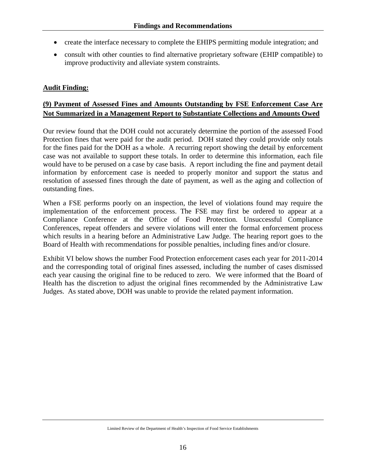- create the interface necessary to complete the EHIPS permitting module integration; and
- consult with other counties to find alternative proprietary software (EHIP compatible) to improve productivity and alleviate system constraints.

### **Audit Finding:**

## **(9) Payment of Assessed Fines and Amounts Outstanding by FSE Enforcement Case Are Not Summarized in a Management Report to Substantiate Collections and Amounts Owed**

Our review found that the DOH could not accurately determine the portion of the assessed Food Protection fines that were paid for the audit period. DOH stated they could provide only totals for the fines paid for the DOH as a whole. A recurring report showing the detail by enforcement case was not available to support these totals. In order to determine this information, each file would have to be perused on a case by case basis. A report including the fine and payment detail information by enforcement case is needed to properly monitor and support the status and resolution of assessed fines through the date of payment, as well as the aging and collection of outstanding fines.

When a FSE performs poorly on an inspection, the level of violations found may require the implementation of the enforcement process. The FSE may first be ordered to appear at a Compliance Conference at the Office of Food Protection. Unsuccessful Compliance Conferences, repeat offenders and severe violations will enter the formal enforcement process which results in a hearing before an Administrative Law Judge. The hearing report goes to the Board of Health with recommendations for possible penalties, including fines and/or closure.

Exhibit VI below shows the number Food Protection enforcement cases each year for 2011-2014 and the corresponding total of original fines assessed, including the number of cases dismissed each year causing the original fine to be reduced to zero. We were informed that the Board of Health has the discretion to adjust the original fines recommended by the Administrative Law Judges. As stated above, DOH was unable to provide the related payment information.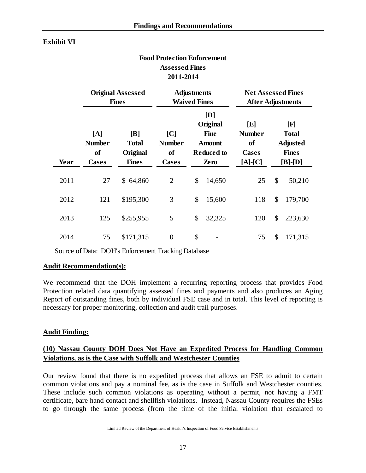#### **Exhibit VI**

### **Food Protection Enforcement Assessed Fines 2011-2014**

|      | <b>Original Assessed</b><br><b>Fines</b>              |                                                 |                                                      | <b>Adjustments</b><br><b>Waived Fines</b> |                                                                              |                                                                | <b>Net Assessed Fines</b><br><b>After Adjustments</b> |                                                                                |
|------|-------------------------------------------------------|-------------------------------------------------|------------------------------------------------------|-------------------------------------------|------------------------------------------------------------------------------|----------------------------------------------------------------|-------------------------------------------------------|--------------------------------------------------------------------------------|
| Year | [A]<br><b>Number</b><br><sub>of</sub><br><b>Cases</b> | [B]<br><b>Total</b><br>Original<br><b>Fines</b> | C <br><b>Number</b><br><sub>of</sub><br><b>Cases</b> |                                           | [D]<br>Original<br><b>Fine</b><br><b>Amount</b><br><b>Reduced to</b><br>Zero | [E]<br><b>Number</b><br><b>of</b><br><b>Cases</b><br>$[A]-[C]$ |                                                       | $\mathbf{[F]}$<br><b>Total</b><br><b>Adjusted</b><br><b>Fines</b><br>$[B]-[D]$ |
| 2011 | 27                                                    | \$64,860                                        | $\overline{2}$                                       | \$                                        | 14,650                                                                       | 25                                                             | \$                                                    | 50,210                                                                         |
| 2012 | 121                                                   | \$195,300                                       | 3                                                    | \$                                        | 15,600                                                                       | 118                                                            | \$                                                    | 179,700                                                                        |
| 2013 | 125                                                   | \$255,955                                       | 5                                                    | \$                                        | 32,325                                                                       | 120                                                            | \$                                                    | 223,630                                                                        |
| 2014 | 75                                                    | \$171,315                                       | $\overline{0}$                                       | \$                                        |                                                                              | 75                                                             | \$                                                    | 171,315                                                                        |

Source of Data: DOH's Enforcement Tracking Database

#### **Audit Recommendation(s):**

We recommend that the DOH implement a recurring reporting process that provides Food Protection related data quantifying assessed fines and payments and also produces an Aging Report of outstanding fines, both by individual FSE case and in total. This level of reporting is necessary for proper monitoring, collection and audit trail purposes.

#### **Audit Finding:**

### **(10) Nassau County DOH Does Not Have an Expedited Process for Handling Common Violations, as is the Case with Suffolk and Westchester Counties**

Our review found that there is no expedited process that allows an FSE to admit to certain common violations and pay a nominal fee, as is the case in Suffolk and Westchester counties. These include such common violations as operating without a permit, not having a FMT certificate, bare hand contact and shellfish violations. Instead, Nassau County requires the FSEs to go through the same process (from the time of the initial violation that escalated to

Limited Review of the Department of Health's Inspection of Food Service Establishments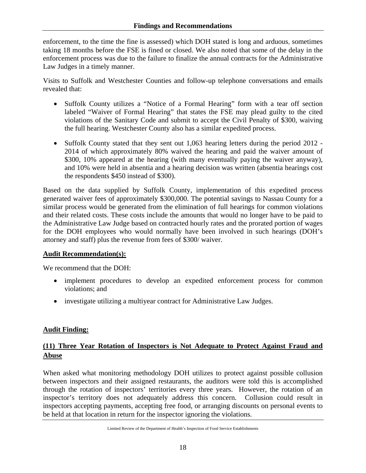enforcement, to the time the fine is assessed) which DOH stated is long and arduous, sometimes taking 18 months before the FSE is fined or closed. We also noted that some of the delay in the enforcement process was due to the failure to finalize the annual contracts for the Administrative Law Judges in a timely manner.

Visits to Suffolk and Westchester Counties and follow-up telephone conversations and emails revealed that:

- Suffolk County utilizes a "Notice of a Formal Hearing" form with a tear off section labeled "Waiver of Formal Hearing" that states the FSE may plead guilty to the cited violations of the Sanitary Code and submit to accept the Civil Penalty of \$300, waiving the full hearing. Westchester County also has a similar expedited process.
- Suffolk County stated that they sent out 1,063 hearing letters during the period 2012 -2014 of which approximately 80% waived the hearing and paid the waiver amount of \$300, 10% appeared at the hearing (with many eventually paying the waiver anyway), and 10% were held in absentia and a hearing decision was written (absentia hearings cost the respondents \$450 instead of \$300).

Based on the data supplied by Suffolk County, implementation of this expedited process generated waiver fees of approximately \$300,000. The potential savings to Nassau County for a similar process would be generated from the elimination of full hearings for common violations and their related costs. These costs include the amounts that would no longer have to be paid to the Administrative Law Judge based on contracted hourly rates and the prorated portion of wages for the DOH employees who would normally have been involved in such hearings (DOH's attorney and staff) plus the revenue from fees of \$300/ waiver.

### **Audit Recommendation(s):**

We recommend that the DOH:

- implement procedures to develop an expedited enforcement process for common violations; and
- investigate utilizing a multiyear contract for Administrative Law Judges.

### **Audit Finding:**

### **(11) Three Year Rotation of Inspectors is Not Adequate to Protect Against Fraud and Abuse**

When asked what monitoring methodology DOH utilizes to protect against possible collusion between inspectors and their assigned restaurants, the auditors were told this is accomplished through the rotation of inspectors' territories every three years. However, the rotation of an inspector's territory does not adequately address this concern. Collusion could result in inspectors accepting payments, accepting free food, or arranging discounts on personal events to be held at that location in return for the inspector ignoring the violations.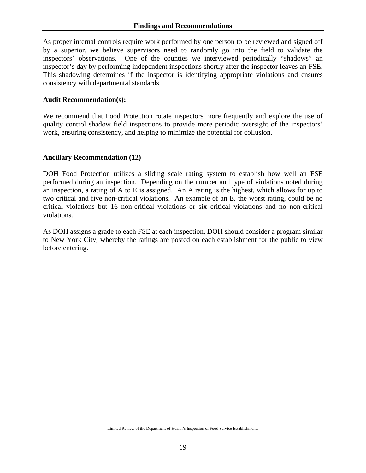As proper internal controls require work performed by one person to be reviewed and signed off by a superior, we believe supervisors need to randomly go into the field to validate the inspectors' observations. One of the counties we interviewed periodically "shadows" an inspector's day by performing independent inspections shortly after the inspector leaves an FSE. This shadowing determines if the inspector is identifying appropriate violations and ensures consistency with departmental standards.

#### **Audit Recommendation(s):**

We recommend that Food Protection rotate inspectors more frequently and explore the use of quality control shadow field inspections to provide more periodic oversight of the inspectors' work, ensuring consistency, and helping to minimize the potential for collusion.

#### **Ancillary Recommendation (12)**

DOH Food Protection utilizes a sliding scale rating system to establish how well an FSE performed during an inspection. Depending on the number and type of violations noted during an inspection, a rating of A to E is assigned. An A rating is the highest, which allows for up to two critical and five non-critical violations. An example of an E, the worst rating, could be no critical violations but 16 non-critical violations or six critical violations and no non-critical violations.

As DOH assigns a grade to each FSE at each inspection, DOH should consider a program similar to New York City, whereby the ratings are posted on each establishment for the public to view before entering.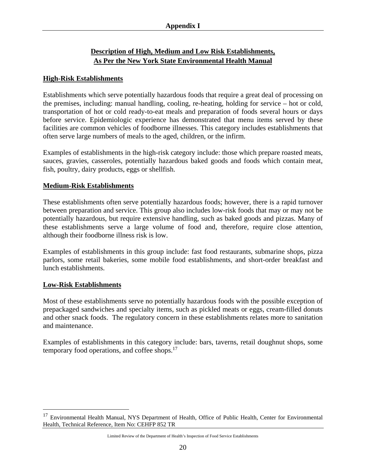# **Description of High, Medium and Low Risk Establishments, As Per the New York State Environmental Health Manual**

#### **High-Risk Establishments**

Establishments which serve potentially hazardous foods that require a great deal of processing on the premises, including: manual handling, cooling, re-heating, holding for service – hot or cold, transportation of hot or cold ready-to-eat meals and preparation of foods several hours or days before service. Epidemiologic experience has demonstrated that menu items served by these facilities are common vehicles of foodborne illnesses. This category includes establishments that often serve large numbers of meals to the aged, children, or the infirm.

Examples of establishments in the high-risk category include: those which prepare roasted meats, sauces, gravies, casseroles, potentially hazardous baked goods and foods which contain meat, fish, poultry, dairy products, eggs or shellfish.

#### **Medium-Risk Establishments**

These establishments often serve potentially hazardous foods; however, there is a rapid turnover between preparation and service. This group also includes low-risk foods that may or may not be potentially hazardous, but require extensive handling, such as baked goods and pizzas. Many of these establishments serve a large volume of food and, therefore, require close attention, although their foodborne illness risk is low.

Examples of establishments in this group include: fast food restaurants, submarine shops, pizza parlors, some retail bakeries, some mobile food establishments, and short-order breakfast and lunch establishments.

#### **Low-Risk Establishments**

 $\overline{a}$ 

Most of these establishments serve no potentially hazardous foods with the possible exception of prepackaged sandwiches and specialty items, such as pickled meats or eggs, cream-filled donuts and other snack foods. The regulatory concern in these establishments relates more to sanitation and maintenance.

Examples of establishments in this category include: bars, taverns, retail doughnut shops, some temporary food operations, and coffee shops.<sup>17</sup>

Limited Review of the Department of Health's Inspection of Food Service Establishments

<sup>&</sup>lt;sup>17</sup> Environmental Health Manual, NYS Department of Health, Office of Public Health, Center for Environmental Health, Technical Reference, Item No: CEHFP 852 TR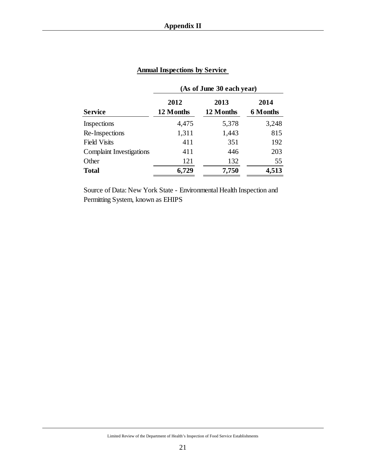|                                 | (As of June 30 each year) |                   |                         |  |  |
|---------------------------------|---------------------------|-------------------|-------------------------|--|--|
| <b>Service</b>                  | 2012<br>12 Months         | 2013<br>12 Months | 2014<br><b>6</b> Months |  |  |
| Inspections                     | 4,475                     | 5,378             | 3,248                   |  |  |
| Re-Inspections                  | 1,311                     | 1,443             | 815                     |  |  |
| <b>Field Visits</b>             | 411                       | 351               | 192                     |  |  |
| <b>Complaint Investigations</b> | 411                       | 446               | 203                     |  |  |
| Other                           | 121                       | 132               | 55                      |  |  |
| <b>Total</b>                    | 6,729                     | 7,750             | 4,513                   |  |  |

# **Annual Inspections by Service**

Source of Data: New York State - Environmental Health Inspection and Permitting System, known as EHIPS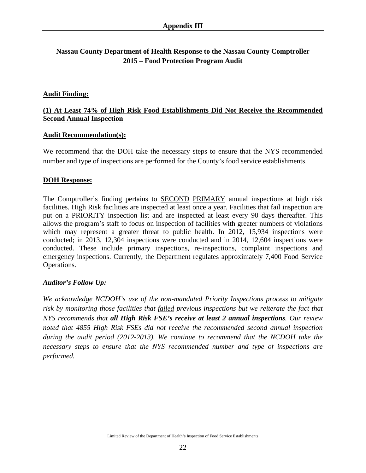# **Nassau County Department of Health Response to the Nassau County Comptroller 2015 – Food Protection Program Audit**

#### **Audit Finding:**

### **(1) At Least 74% of High Risk Food Establishments Did Not Receive the Recommended Second Annual Inspection**

#### **Audit Recommendation(s):**

We recommend that the DOH take the necessary steps to ensure that the NYS recommended number and type of inspections are performed for the County's food service establishments.

#### **DOH Response:**

The Comptroller's finding pertains to SECOND PRIMARY annual inspections at high risk facilities. High Risk facilities are inspected at least once a year. Facilities that fail inspection are put on a PRIORITY inspection list and are inspected at least every 90 days thereafter. This allows the program's staff to focus on inspection of facilities with greater numbers of violations which may represent a greater threat to public health. In 2012, 15,934 inspections were conducted; in 2013, 12,304 inspections were conducted and in 2014, 12,604 inspections were conducted. These include primary inspections, re-inspections, complaint inspections and emergency inspections. Currently, the Department regulates approximately 7,400 Food Service Operations.

#### *Auditor's Follow Up:*

*We acknowledge NCDOH's use of the non-mandated Priority Inspections process to mitigate risk by monitoring those facilities that failed previous inspections but we reiterate the fact that NYS recommends that all High Risk FSE's receive at least 2 annual inspections. Our review noted that 4855 High Risk FSEs did not receive the recommended second annual inspection during the audit period (2012-2013). We continue to recommend that the NCDOH take the necessary steps to ensure that the NYS recommended number and type of inspections are performed.*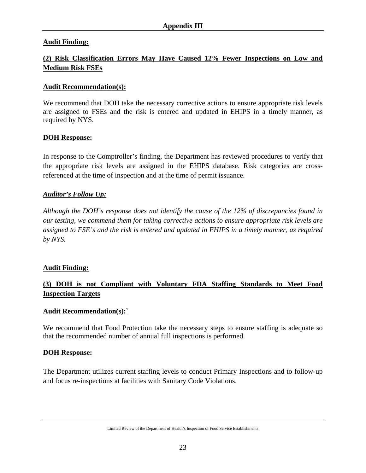### **Audit Finding:**

# **(2) Risk Classification Errors May Have Caused 12% Fewer Inspections on Low and Medium Risk FSEs**

#### **Audit Recommendation(s):**

We recommend that DOH take the necessary corrective actions to ensure appropriate risk levels are assigned to FSEs and the risk is entered and updated in EHIPS in a timely manner, as required by NYS.

#### **DOH Response:**

In response to the Comptroller's finding, the Department has reviewed procedures to verify that the appropriate risk levels are assigned in the EHIPS database. Risk categories are crossreferenced at the time of inspection and at the time of permit issuance.

### *Auditor's Follow Up:*

*Although the DOH's response does not identify the cause of the 12% of discrepancies found in our testing, we commend them for taking corrective actions to ensure appropriate risk levels are assigned to FSE's and the risk is entered and updated in EHIPS in a timely manner, as required by NYS.* 

### **Audit Finding:**

# **(3) DOH is not Compliant with Voluntary FDA Staffing Standards to Meet Food Inspection Targets**

#### **Audit Recommendation(s):`**

We recommend that Food Protection take the necessary steps to ensure staffing is adequate so that the recommended number of annual full inspections is performed.

#### **DOH Response:**

The Department utilizes current staffing levels to conduct Primary Inspections and to follow-up and focus re-inspections at facilities with Sanitary Code Violations.

Limited Review of the Department of Health's Inspection of Food Service Establishments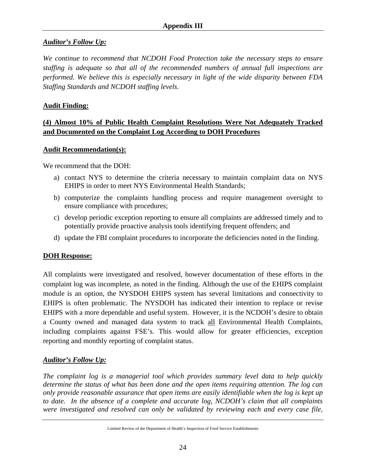### *Auditor's Follow Up:*

*We continue to recommend that NCDOH Food Protection take the necessary steps to ensure staffing is adequate so that all of the recommended numbers of annual full inspections are performed. We believe this is especially necessary in light of the wide disparity between FDA Staffing Standards and NCDOH staffing levels.* 

### **Audit Finding:**

# **(4) Almost 10% of Public Health Complaint Resolutions Were Not Adequately Tracked and Documented on the Complaint Log According to DOH Procedures**

### **Audit Recommendation(s):**

We recommend that the DOH:

- a) contact NYS to determine the criteria necessary to maintain complaint data on NYS EHIPS in order to meet NYS Environmental Health Standards;
- b) computerize the complaints handling process and require management oversight to ensure compliance with procedures;
- c) develop periodic exception reporting to ensure all complaints are addressed timely and to potentially provide proactive analysis tools identifying frequent offenders; and
- d) update the FBI complaint procedures to incorporate the deficiencies noted in the finding.

# **DOH Response:**

All complaints were investigated and resolved, however documentation of these efforts in the complaint log was incomplete, as noted in the finding. Although the use of the EHIPS complaint module is an option, the NYSDOH EHIPS system has several limitations and connectivity to EHIPS is often problematic. The NYSDOH has indicated their intention to replace or revise EHIPS with a more dependable and useful system. However, it is the NCDOH's desire to obtain a County owned and managed data system to track all Environmental Health Complaints, including complaints against FSE's. This would allow for greater efficiencies, exception reporting and monthly reporting of complaint status.

### *Auditor's Follow Up:*

*The complaint log is a managerial tool which provides summary level data to help quickly determine the status of what has been done and the open items requiring attention. The log can only provide reasonable assurance that open items are easily identifiable when the log is kept up to date. In the absence of a complete and accurate log, NCDOH's claim that all complaints were investigated and resolved can only be validated by reviewing each and every case file,* 

Limited Review of the Department of Health's Inspection of Food Service Establishments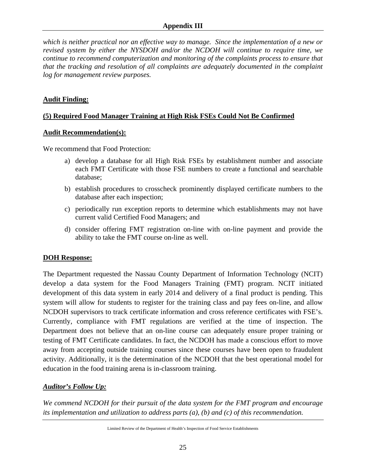*which is neither practical nor an effective way to manage. Since the implementation of a new or revised system by either the NYSDOH and/or the NCDOH will continue to require time, we continue to recommend computerization and monitoring of the complaints process to ensure that that the tracking and resolution of all complaints are adequately documented in the complaint log for management review purposes.* 

### **Audit Finding:**

### **(5) Required Food Manager Training at High Risk FSEs Could Not Be Confirmed**

#### **Audit Recommendation(s):**

We recommend that Food Protection:

- a) develop a database for all High Risk FSEs by establishment number and associate each FMT Certificate with those FSE numbers to create a functional and searchable database;
- b) establish procedures to crosscheck prominently displayed certificate numbers to the database after each inspection;
- c) periodically run exception reports to determine which establishments may not have current valid Certified Food Managers; and
- d) consider offering FMT registration on-line with on-line payment and provide the ability to take the FMT course on-line as well.

### **DOH Response:**

The Department requested the Nassau County Department of Information Technology (NCIT) develop a data system for the Food Managers Training (FMT) program. NCIT initiated development of this data system in early 2014 and delivery of a final product is pending. This system will allow for students to register for the training class and pay fees on-line, and allow NCDOH supervisors to track certificate information and cross reference certificates with FSE's. Currently, compliance with FMT regulations are verified at the time of inspection. The Department does not believe that an on-line course can adequately ensure proper training or testing of FMT Certificate candidates. In fact, the NCDOH has made a conscious effort to move away from accepting outside training courses since these courses have been open to fraudulent activity. Additionally, it is the determination of the NCDOH that the best operational model for education in the food training arena is in-classroom training.

# *Auditor's Follow Up:*

*We commend NCDOH for their pursuit of the data system for the FMT program and encourage its implementation and utilization to address parts (a), (b) and (c) of this recommendation.*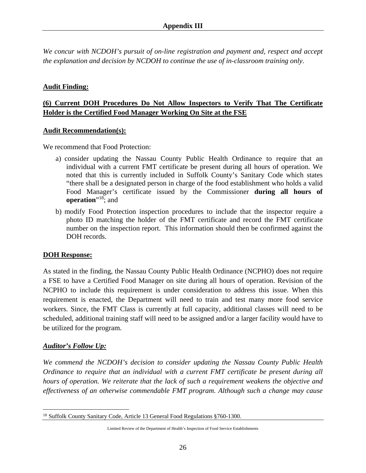*We concur with NCDOH's pursuit of on-line registration and payment and, respect and accept the explanation and decision by NCDOH to continue the use of in-classroom training only.* 

#### **Audit Finding:**

## **(6) Current DOH Procedures Do Not Allow Inspectors to Verify That The Certificate Holder is the Certified Food Manager Working On Site at the FSE**

#### **Audit Recommendation(s):**

We recommend that Food Protection:

- a) consider updating the Nassau County Public Health Ordinance to require that an individual with a current FMT certificate be present during all hours of operation. We noted that this is currently included in Suffolk County's Sanitary Code which states "there shall be a designated person in charge of the food establishment who holds a valid Food Manager's certificate issued by the Commissioner **during all hours of operation**"<sup>18</sup>; and
- b) modify Food Protection inspection procedures to include that the inspector require a photo ID matching the holder of the FMT certificate and record the FMT certificate number on the inspection report. This information should then be confirmed against the DOH records.

#### **DOH Response:**

As stated in the finding, the Nassau County Public Health Ordinance (NCPHO) does not require a FSE to have a Certified Food Manager on site during all hours of operation. Revision of the NCPHO to include this requirement is under consideration to address this issue. When this requirement is enacted, the Department will need to train and test many more food service workers. Since, the FMT Class is currently at full capacity, additional classes will need to be scheduled, additional training staff will need to be assigned and/or a larger facility would have to be utilized for the program.

#### *Auditor's Follow Up:*

*We commend the NCDOH's decision to consider updating the Nassau County Public Health Ordinance to require that an individual with a current FMT certificate be present during all hours of operation. We reiterate that the lack of such a requirement weakens the objective and effectiveness of an otherwise commendable FMT program. Although such a change may cause* 

 $\overline{a}$ <sup>18</sup> Suffolk County Sanitary Code, Article 13 General Food Regulations §760-1300.

Limited Review of the Department of Health's Inspection of Food Service Establishments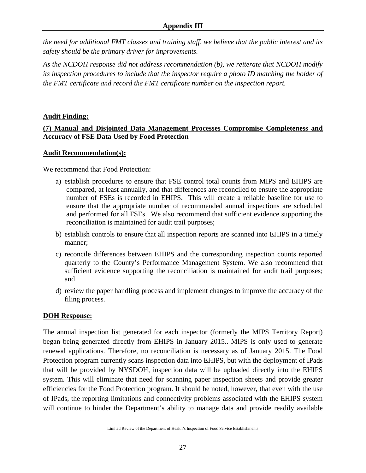*the need for additional FMT classes and training staff, we believe that the public interest and its safety should be the primary driver for improvements.* 

*As the NCDOH response did not address recommendation (b), we reiterate that NCDOH modify its inspection procedures to include that the inspector require a photo ID matching the holder of the FMT certificate and record the FMT certificate number on the inspection report.*

### **Audit Finding:**

### **(7) Manual and Disjointed Data Management Processes Compromise Completeness and Accuracy of FSE Data Used by Food Protection**

### **Audit Recommendation(s):**

We recommend that Food Protection:

- a) establish procedures to ensure that FSE control total counts from MIPS and EHIPS are compared, at least annually, and that differences are reconciled to ensure the appropriate number of FSEs is recorded in EHIPS. This will create a reliable baseline for use to ensure that the appropriate number of recommended annual inspections are scheduled and performed for all FSEs. We also recommend that sufficient evidence supporting the reconciliation is maintained for audit trail purposes;
- b) establish controls to ensure that all inspection reports are scanned into EHIPS in a timely manner;
- c) reconcile differences between EHIPS and the corresponding inspection counts reported quarterly to the County's Performance Management System. We also recommend that sufficient evidence supporting the reconciliation is maintained for audit trail purposes; and
- d) review the paper handling process and implement changes to improve the accuracy of the filing process.

# **DOH Response:**

The annual inspection list generated for each inspector (formerly the MIPS Territory Report) began being generated directly from EHIPS in January 2015.. MIPS is only used to generate renewal applications. Therefore, no reconciliation is necessary as of January 2015. The Food Protection program currently scans inspection data into EHIPS, but with the deployment of IPads that will be provided by NYSDOH, inspection data will be uploaded directly into the EHIPS system. This will eliminate that need for scanning paper inspection sheets and provide greater efficiencies for the Food Protection program. It should be noted, however, that even with the use of IPads, the reporting limitations and connectivity problems associated with the EHIPS system will continue to hinder the Department's ability to manage data and provide readily available

Limited Review of the Department of Health's Inspection of Food Service Establishments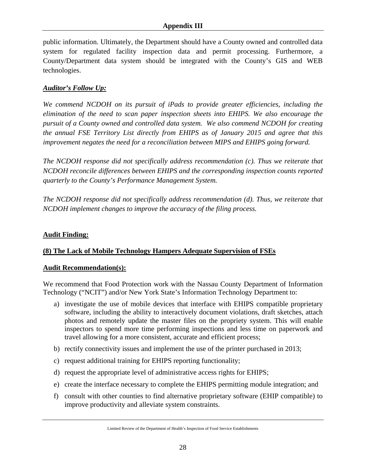public information. Ultimately, the Department should have a County owned and controlled data system for regulated facility inspection data and permit processing. Furthermore, a County/Department data system should be integrated with the County's GIS and WEB technologies.

### *Auditor's Follow Up:*

*We commend NCDOH on its pursuit of iPads to provide greater efficiencies, including the elimination of the need to scan paper inspection sheets into EHIPS. We also encourage the pursuit of a County owned and controlled data system. We also commend NCDOH for creating the annual FSE Territory List directly from EHIPS as of January 2015 and agree that this improvement negates the need for a reconciliation between MIPS and EHIPS going forward.* 

*The NCDOH response did not specifically address recommendation (c). Thus we reiterate that NCDOH reconcile differences between EHIPS and the corresponding inspection counts reported quarterly to the County's Performance Management System.* 

*The NCDOH response did not specifically address recommendation (d). Thus, we reiterate that NCDOH implement changes to improve the accuracy of the filing process.* 

## **Audit Finding:**

### **(8) The Lack of Mobile Technology Hampers Adequate Supervision of FSEs**

### **Audit Recommendation(s):**

We recommend that Food Protection work with the Nassau County Department of Information Technology ("NCIT") and/or New York State's Information Technology Department to:

- a) investigate the use of mobile devices that interface with EHIPS compatible proprietary software, including the ability to interactively document violations, draft sketches, attach photos and remotely update the master files on the propriety system. This will enable inspectors to spend more time performing inspections and less time on paperwork and travel allowing for a more consistent, accurate and efficient process;
- b) rectify connectivity issues and implement the use of the printer purchased in 2013;
- c) request additional training for EHIPS reporting functionality;
- d) request the appropriate level of administrative access rights for EHIPS;
- e) create the interface necessary to complete the EHIPS permitting module integration; and
- f) consult with other counties to find alternative proprietary software (EHIP compatible) to improve productivity and alleviate system constraints.

Limited Review of the Department of Health's Inspection of Food Service Establishments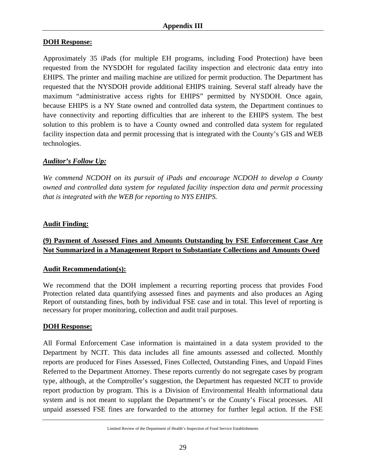### **DOH Response:**

Approximately 35 iPads (for multiple EH programs, including Food Protection) have been requested from the NYSDOH for regulated facility inspection and electronic data entry into EHIPS. The printer and mailing machine are utilized for permit production. The Department has requested that the NYSDOH provide additional EHIPS training. Several staff already have the maximum "administrative access rights for EHIPS" permitted by NYSDOH. Once again, because EHIPS is a NY State owned and controlled data system, the Department continues to have connectivity and reporting difficulties that are inherent to the EHIPS system. The best solution to this problem is to have a County owned and controlled data system for regulated facility inspection data and permit processing that is integrated with the County's GIS and WEB technologies.

### *Auditor's Follow Up:*

*We commend NCDOH on its pursuit of iPads and encourage NCDOH to develop a County owned and controlled data system for regulated facility inspection data and permit processing that is integrated with the WEB for reporting to NYS EHIPS.* 

### **Audit Finding:**

# **(9) Payment of Assessed Fines and Amounts Outstanding by FSE Enforcement Case Are Not Summarized in a Management Report to Substantiate Collections and Amounts Owed**

### **Audit Recommendation(s):**

We recommend that the DOH implement a recurring reporting process that provides Food Protection related data quantifying assessed fines and payments and also produces an Aging Report of outstanding fines, both by individual FSE case and in total. This level of reporting is necessary for proper monitoring, collection and audit trail purposes.

### **DOH Response:**

All Formal Enforcement Case information is maintained in a data system provided to the Department by NCIT. This data includes all fine amounts assessed and collected. Monthly reports are produced for Fines Assessed, Fines Collected, Outstanding Fines, and Unpaid Fines Referred to the Department Attorney. These reports currently do not segregate cases by program type, although, at the Comptroller's suggestion, the Department has requested NCIT to provide report production by program. This is a Division of Environmental Health informational data system and is not meant to supplant the Department's or the County's Fiscal processes. All unpaid assessed FSE fines are forwarded to the attorney for further legal action. If the FSE

Limited Review of the Department of Health's Inspection of Food Service Establishments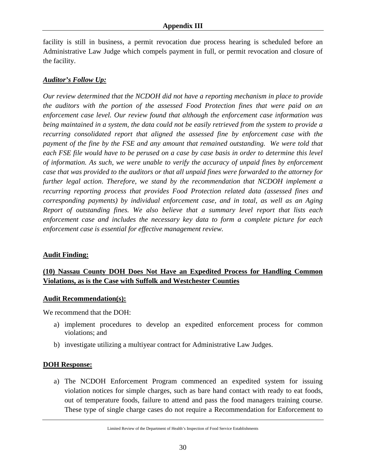facility is still in business, a permit revocation due process hearing is scheduled before an Administrative Law Judge which compels payment in full, or permit revocation and closure of the facility.

#### *Auditor's Follow Up:*

*Our review determined that the NCDOH did not have a reporting mechanism in place to provide the auditors with the portion of the assessed Food Protection fines that were paid on an enforcement case level. Our review found that although the enforcement case information was being maintained in a system, the data could not be easily retrieved from the system to provide a recurring consolidated report that aligned the assessed fine by enforcement case with the payment of the fine by the FSE and any amount that remained outstanding. We were told that each FSE file would have to be perused on a case by case basis in order to determine this level of information. As such, we were unable to verify the accuracy of unpaid fines by enforcement case that was provided to the auditors or that all unpaid fines were forwarded to the attorney for further legal action*. *Therefore,* w*e stand by the recommendation that NCDOH implement a recurring reporting process that provides Food Protection related data (assessed fines and corresponding payments) by individual enforcement case, and in total, as well as an Aging Report of outstanding fines. We also believe that a summary level report that lists each enforcement case and includes the necessary key data to form a complete picture for each enforcement case is essential for effective management review.* 

#### **Audit Finding:**

# **(10) Nassau County DOH Does Not Have an Expedited Process for Handling Common Violations, as is the Case with Suffolk and Westchester Counties**

#### **Audit Recommendation(s):**

We recommend that the DOH:

- a) implement procedures to develop an expedited enforcement process for common violations; and
- b) investigate utilizing a multiyear contract for Administrative Law Judges.

#### **DOH Response:**

a) The NCDOH Enforcement Program commenced an expedited system for issuing violation notices for simple charges, such as bare hand contact with ready to eat foods, out of temperature foods, failure to attend and pass the food managers training course. These type of single charge cases do not require a Recommendation for Enforcement to

Limited Review of the Department of Health's Inspection of Food Service Establishments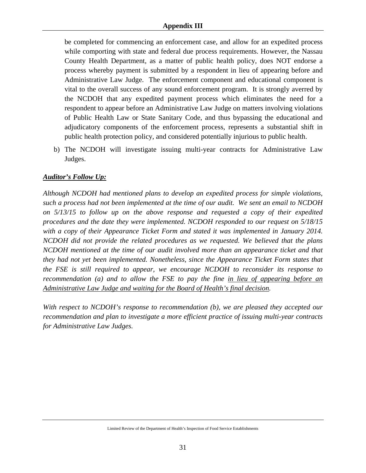#### **Appendix III**

be completed for commencing an enforcement case, and allow for an expedited process while comporting with state and federal due process requirements. However, the Nassau County Health Department, as a matter of public health policy, does NOT endorse a process whereby payment is submitted by a respondent in lieu of appearing before and Administrative Law Judge. The enforcement component and educational component is vital to the overall success of any sound enforcement program. It is strongly averred by the NCDOH that any expedited payment process which eliminates the need for a respondent to appear before an Administrative Law Judge on matters involving violations of Public Health Law or State Sanitary Code, and thus bypassing the educational and adjudicatory components of the enforcement process, represents a substantial shift in public health protection policy, and considered potentially injurious to public health.

b) The NCDOH will investigate issuing multi-year contracts for Administrative Law Judges.

### *Auditor's Follow Up:*

*Although NCDOH had mentioned plans to develop an expedited process for simple violations, such a process had not been implemented at the time of our audit. We sent an email to NCDOH on 5/13/15 to follow up on the above response and requested a copy of their expedited procedures and the date they were implemented. NCDOH responded to our request on 5/18/15 with a copy of their Appearance Ticket Form and stated it was implemented in January 2014. NCDOH did not provide the related procedures as we requested. We believed that the plans NCDOH mentioned at the time of our audit involved more than an appearance ticket and that they had not yet been implemented. Nonetheless, since the Appearance Ticket Form states that the FSE is still required to appear, we encourage NCDOH to reconsider its response to recommendation (a) and to allow the FSE to pay the fine in lieu of appearing before an Administrative Law Judge and waiting for the Board of Health's final decision.* 

*With respect to NCDOH's response to recommendation (b), we are pleased they accepted our recommendation and plan to investigate a more efficient practice of issuing multi-year contracts for Administrative Law Judges.*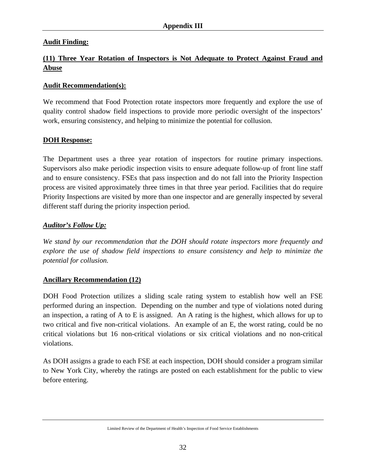## **Audit Finding:**

# **(11) Three Year Rotation of Inspectors is Not Adequate to Protect Against Fraud and Abuse**

#### **Audit Recommendation(s):**

We recommend that Food Protection rotate inspectors more frequently and explore the use of quality control shadow field inspections to provide more periodic oversight of the inspectors' work, ensuring consistency, and helping to minimize the potential for collusion.

#### **DOH Response:**

The Department uses a three year rotation of inspectors for routine primary inspections. Supervisors also make periodic inspection visits to ensure adequate follow-up of front line staff and to ensure consistency. FSEs that pass inspection and do not fall into the Priority Inspection process are visited approximately three times in that three year period. Facilities that do require Priority Inspections are visited by more than one inspector and are generally inspected by several different staff during the priority inspection period.

#### *Auditor's Follow Up:*

*We stand by our recommendation that the DOH should rotate inspectors more frequently and explore the use of shadow field inspections to ensure consistency and help to minimize the potential for collusion.* 

### **Ancillary Recommendation (12)**

DOH Food Protection utilizes a sliding scale rating system to establish how well an FSE performed during an inspection. Depending on the number and type of violations noted during an inspection, a rating of A to E is assigned. An A rating is the highest, which allows for up to two critical and five non-critical violations. An example of an E, the worst rating, could be no critical violations but 16 non-critical violations or six critical violations and no non-critical violations.

As DOH assigns a grade to each FSE at each inspection, DOH should consider a program similar to New York City, whereby the ratings are posted on each establishment for the public to view before entering.

Limited Review of the Department of Health's Inspection of Food Service Establishments